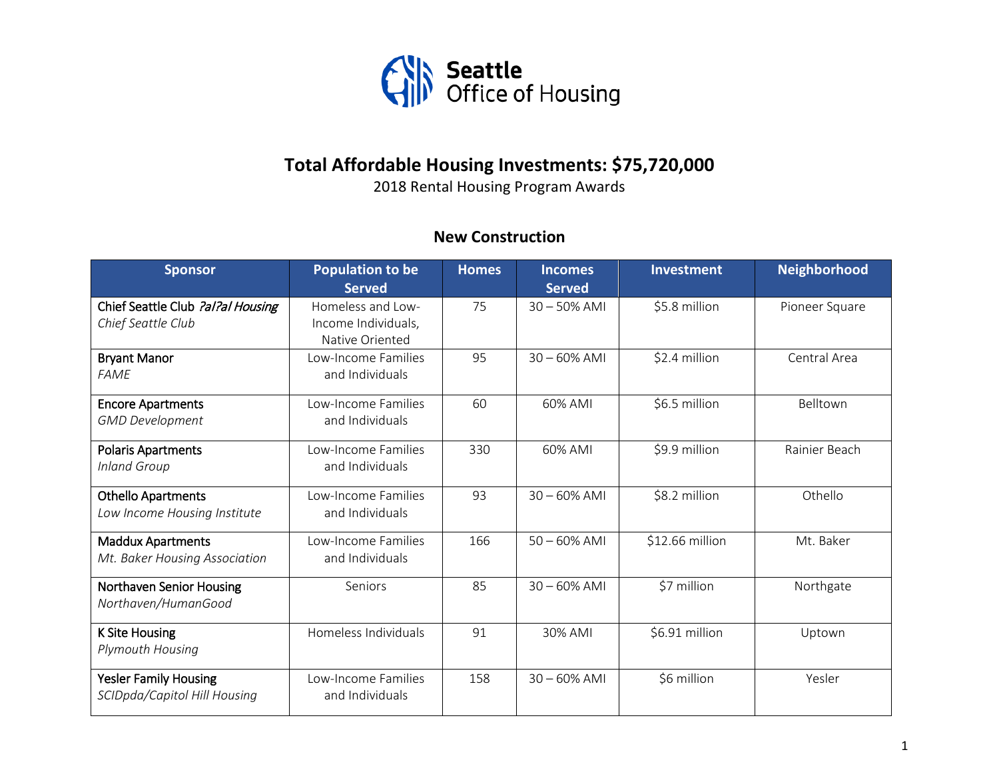

## **Total Affordable Housing Investments: \$75,720,000**

2018 Rental Housing Program Awards

## **New Construction**

| <b>Sponsor</b>                                               | <b>Population to be</b><br><b>Served</b>                    | <b>Homes</b> | <b>Incomes</b><br><b>Served</b> | Investment      | <b>Neighborhood</b> |
|--------------------------------------------------------------|-------------------------------------------------------------|--------------|---------------------------------|-----------------|---------------------|
| Chief Seattle Club ?al?al Housing<br>Chief Seattle Club      | Homeless and Low-<br>Income Individuals,<br>Native Oriented | 75           | $30 - 50\%$ AMI                 | \$5.8 million   | Pioneer Square      |
| <b>Bryant Manor</b><br><b>FAME</b>                           | Low-Income Families<br>and Individuals                      | 95           | $30 - 60\%$ AMI                 | \$2.4 million   | Central Area        |
| <b>Encore Apartments</b><br><b>GMD Development</b>           | Low-Income Families<br>and Individuals                      | 60           | 60% AMI                         | \$6.5 million   | Belltown            |
| <b>Polaris Apartments</b><br><b>Inland Group</b>             | Low-Income Families<br>and Individuals                      | 330          | 60% AMI                         | \$9.9 million   | Rainier Beach       |
| <b>Othello Apartments</b><br>Low Income Housing Institute    | Low-Income Families<br>and Individuals                      | 93           | $30 - 60\%$ AMI                 | \$8.2 million   | Othello             |
| <b>Maddux Apartments</b><br>Mt. Baker Housing Association    | Low-Income Families<br>and Individuals                      | 166          | $50 - 60\%$ AMI                 | \$12.66 million | Mt. Baker           |
| Northaven Senior Housing<br>Northaven/HumanGood              | Seniors                                                     | 85           | $30 - 60\%$ AMI                 | \$7 million     | Northgate           |
| <b>K Site Housing</b><br>Plymouth Housing                    | Homeless Individuals                                        | 91           | 30% AMI                         | \$6.91 million  | Uptown              |
| <b>Yesler Family Housing</b><br>SCIDpda/Capitol Hill Housing | Low-Income Families<br>and Individuals                      | 158          | $30 - 60\%$ AMI                 | \$6 million     | Yesler              |